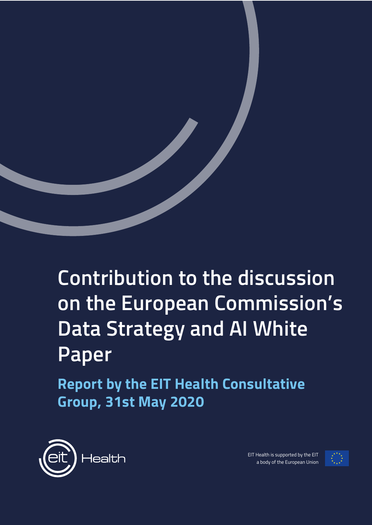

# **Contribution to the discussion on the European Commission's Data Strategy and AI White Paper**

**Report by the EIT Health Consultative Group, 31st May 2020**



EIT Health is supported by the EIT a body of the European Union

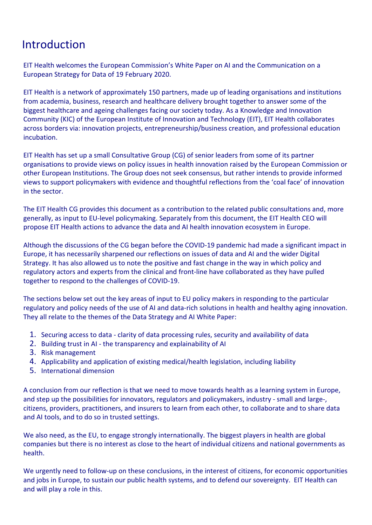### Introduction

EIT Health welcomes the European Commission's White Paper on AI and the Communication on a European Strategy for Data of 19 February 2020.

EIT Health is a network of approximately 150 partners, made up of leading organisations and institutions from academia, business, research and healthcare delivery brought together to answer some of the biggest healthcare and ageing challenges facing our society today. As a Knowledge and Innovation Community (KIC) of the European Institute of Innovation and Technology (EIT), EIT Health collaborates across borders via: innovation projects, entrepreneurship/business creation, and professional education incubation.

EIT Health has set up a small Consultative Group (CG) of senior leaders from some of its partner organisations to provide views on policy issues in health innovation raised by the European Commission or other European Institutions. The Group does not seek consensus, but rather intends to provide informed views to support policymakers with evidence and thoughtful reflections from the 'coal face' of innovation in the sector.

The EIT Health CG provides this document as a contribution to the related public consultations and, more generally, as input to EU-level policymaking. Separately from this document, the EIT Health CEO will propose EIT Health actions to advance the data and AI health innovation ecosystem in Europe.

Although the discussions of the CG began before the COVID-19 pandemic had made a significant impact in Europe, it has necessarily sharpened our reflections on issues of data and AI and the wider Digital Strategy. It has also allowed us to note the positive and fast change in the way in which policy and regulatory actors and experts from the clinical and front-line have collaborated as they have pulled together to respond to the challenges of COVID-19.

The sections below set out the key areas of input to EU policy makers in responding to the particular regulatory and policy needs of the use of AI and data-rich solutions in health and healthy aging innovation. They all relate to the themes of the Data Strategy and AI White Paper:

- 1. Securing access to data clarity of data processing rules, security and availability of data
- 2. Building trust in AI the transparency and explainability of AI
- 3. Risk management
- 4. Applicability and application of existing medical/health legislation, including liability
- 5. International dimension

A conclusion from our reflection is that we need to move towards health as a learning system in Europe, and step up the possibilities for innovators, regulators and policymakers, industry - small and large-, citizens, providers, practitioners, and insurers to learn from each other, to collaborate and to share data and AI tools, and to do so in trusted settings.

We also need, as the EU, to engage strongly internationally. The biggest players in health are global companies but there is no interest as close to the heart of individual citizens and national governments as health.

We urgently need to follow-up on these conclusions, in the interest of citizens, for economic opportunities and jobs in Europe, to sustain our public health systems, and to defend our sovereignty. EIT Health can and will play a role in this.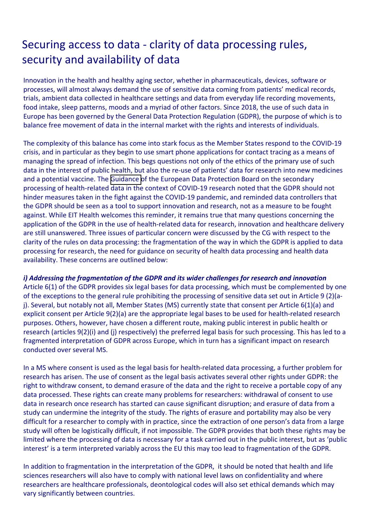### Securing access to data - clarity of data processing rules, security and availability of data

Innovation in the health and healthy aging sector, whether in pharmaceuticals, devices, software or processes, will almost always demand the use of sensitive data coming from patients' medical records, trials, ambient data collected in healthcare settings and data from everyday life recording movements, food intake, sleep patterns, moods and a myriad of other factors. Since 2018, the use of such data in Europe has been governed by the General Data Protection Regulation (GDPR), the purpose of which is to balance free movement of data in the internal market with the rights and interests of individuals.

The complexity of this balance has come into stark focus as the Member States respond to the COVID-19 crisis, and in particular as they begin to use smart phone applications for contact tracing as a means of managing the spread of infection. This begs questions not only of the ethics of the primary use of such data in the interest of public health, but also the re-use of patients' data for research into new medicines and a potential vaccine. The [Guidance o](https://edpb.europa.eu/our-work-tools/our-documents/guidelines/guidelines-032020-processing-data-concerning-health-purpose_en)f the European Data Protection Board on the secondary processing of health-related data in the context of COVID-19 research noted that the GDPR should not hinder measures taken in the fight against the COVID-19 pandemic, and reminded data controllers that the GDPR should be seen as a tool to support innovation and research, not as a measure to be fought against. While EIT Health welcomes this reminder, it remains true that many questions concerning the application of the GDPR in the use of health-related data for research, innovation and healthcare delivery are still unanswered. Three issues of particular concern were discussed by the CG with respect to the clarity of the rules on data processing: the fragmentation of the way in which the GDPR is applied to data processing for research, the need for guidance on security of health data processing and health data availability. These concerns are outlined below:

### *i) Addressing the fragmentation of the GDPR and its wider challenges for research and innovation*

Article 6(1) of the GDPR provides six legal bases for data processing, which must be complemented by one of the exceptions to the general rule prohibiting the processing of sensitive data set out in Article 9 (2)(aj). Several, but notably not all, Member States (MS) currently state that consent per Article 6(1)(a) and explicit consent per Article 9(2)(a) are the appropriate legal bases to be used for health-related research purposes. Others, however, have chosen a different route, making public interest in public health or research (articles 9(2)(i) and (j) respectively) the preferred legal basis for such processing. This has led to a fragmented interpretation of GDPR across Europe, which in turn has a significant impact on research conducted over several MS.

In a MS where consent is used as the legal basis for health-related data processing, a further problem for research has arisen. The use of consent as the legal basis activates several other rights under GDPR: the right to withdraw consent, to demand erasure of the data and the right to receive a portable copy of any data processed. These rights can create many problems for researchers: withdrawal of consent to use data in research once research has started can cause significant disruption; and erasure of data from a study can undermine the integrity of the study. The rights of erasure and portability may also be very difficult for a researcher to comply with in practice, since the extraction of one person's data from a large study will often be logistically difficult, if not impossible. The GDPR provides that both these rights may be limited where the processing of data is necessary for a task carried out in the public interest, but as 'public interest' is a term interpreted variably across the EU this may too lead to fragmentation of the GDPR.

In addition to fragmentation in the interpretation of the GDPR, it should be noted that health and life sciences researchers will also have to comply with national level laws on confidentiality and where researchers are healthcare professionals, deontological codes will also set ethical demands which may vary significantly between countries.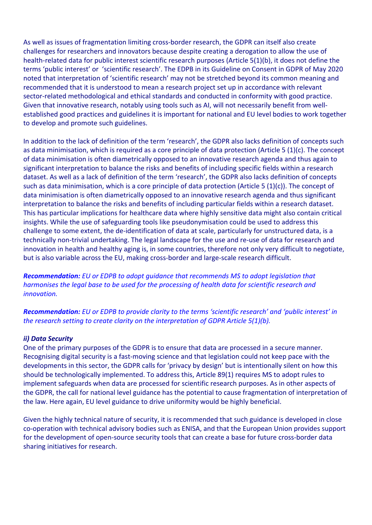As well as issues of fragmentation limiting cross-border research, the GDPR can itself also create challenges for researchers and innovators because despite creating a derogation to allow the use of health-related data for public interest scientific research purposes (Article 5(1)(b), it does not define the terms 'public interest' or 'scientific research'. The EDPB in its Guideline on Consent in GDPR of May 2020 noted that interpretation of 'scientific research' may not be stretched beyond its common meaning and recommended that it is understood to mean a research project set up in accordance with relevant sector-related methodological and ethical standards and conducted in conformity with good practice. Given that innovative research, notably using tools such as AI, will not necessarily benefit from wellestablished good practices and guidelines it is important for national and EU level bodies to work together to develop and promote such guidelines.

In addition to the lack of definition of the term 'research', the GDPR also lacks definition of concepts such as data minimisation, which is required as a core principle of data protection (Article 5 (1)(c). The concept of data minimisation is often diametrically opposed to an innovative research agenda and thus again to significant interpretation to balance the risks and benefits of including specific fields within a research dataset. As well as a lack of definition of the term 'research', the GDPR also lacks definition of concepts such as data minimisation, which is a core principle of data protection (Article 5  $(1)(c)$ ). The concept of data minimisation is often diametrically opposed to an innovative research agenda and thus significant interpretation to balance the risks and benefits of including particular fields within a research dataset. This has particular implications for healthcare data where highly sensitive data might also contain critical insights. While the use of safeguarding tools like pseudonymisation could be used to address this challenge to some extent, the de-identification of data at scale, particularly for unstructured data, is a technically non-trivial undertaking. The legal landscape for the use and re-use of data for research and innovation in health and healthy aging is, in some countries, therefore not only very difficult to negotiate, but is also variable across the EU, making cross-border and large-scale research difficult.

*Recommendation: EU or EDPB to adopt guidance that recommends MS to adopt legislation that harmonises the legal base to be used for the processing of health data for scientific research and innovation.*

*Recommendation: EU or EDPB to provide clarity to the terms 'scientific research' and 'public interest' in the research setting to create clarity on the interpretation of GDPR Article 5(1)(b).* 

#### *ii) Data Security*

One of the primary purposes of the GDPR is to ensure that data are processed in a secure manner. Recognising digital security is a fast-moving science and that legislation could not keep pace with the developments in this sector, the GDPR calls for 'privacy by design' but is intentionally silent on how this should be technologically implemented. To address this, Article 89(1) requires MS to adopt rules to implement safeguards when data are processed for scientific research purposes. As in other aspects of the GDPR, the call for national level guidance has the potential to cause fragmentation of interpretation of the law. Here again, EU level guidance to drive uniformity would be highly beneficial.

Given the highly technical nature of security, it is recommended that such guidance is developed in close co-operation with technical advisory bodies such as ENISA, and that the European Union provides support for the development of open-source security tools that can create a base for future cross-border data sharing initiatives for research.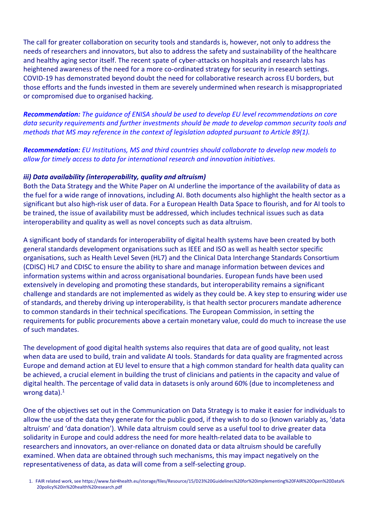The call for greater collaboration on security tools and standards is, however, not only to address the needs of researchers and innovators, but also to address the safety and sustainability of the healthcare and healthy aging sector itself. The recent spate of cyber-attacks on hospitals and research labs has heightened awareness of the need for a more co-ordinated strategy for security in research settings. COVID-19 has demonstrated beyond doubt the need for collaborative research across EU borders, but those efforts and the funds invested in them are severely undermined when research is misappropriated or compromised due to organised hacking.

*Recommendation: The guidance of ENISA should be used to develop EU level recommendations on core data security requirements and further investments should be made to develop common security tools and methods that MS may reference in the context of legislation adopted pursuant to Article 89(1).*

*Recommendation: EU Institutions, MS and third countries should collaborate to develop new models to allow for timely access to data for international research and innovation initiatives.*

#### *iii) Data availability (interoperability, quality and altruism)*

Both the Data Strategy and the White Paper on AI underline the importance of the availability of data as the fuel for a wide range of innovations, including AI. Both documents also highlight the health sector as a significant but also high-risk user of data. For a European Health Data Space to flourish, and for AI tools to be trained, the issue of availability must be addressed, which includes technical issues such as data interoperability and quality as well as novel concepts such as data altruism.

A significant body of standards for interoperability of digital health systems have been created by both general standards development organisations such as IEEE and ISO as well as health sector specific organisations, such as Health Level Seven (HL7) and the Clinical Data Interchange Standards Consortium (CDISC) HL7 and CDISC to ensure the ability to share and manage information between devices and information systems within and across organisational boundaries. European funds have been used extensively in developing and promoting these standards, but interoperability remains a significant challenge and standards are not implemented as widely as they could be. A key step to ensuring wider use of standards, and thereby driving up interoperability, is that health sector procurers mandate adherence to common standards in their technical specifications. The European Commission, in setting the requirements for public procurements above a certain monetary value, could do much to increase the use of such mandates.

The development of good digital health systems also requires that data are of good quality, not least when data are used to build, train and validate AI tools. Standards for data quality are fragmented across Europe and demand action at EU level to ensure that a high common standard for health data quality can be achieved, a crucial element in building the trust of clinicians and patients in the capacity and value of digital health. The percentage of valid data in datasets is only around 60% (due to incompleteness and wrong data). $1$ 

One of the objectives set out in the Communication on Data Strategy is to make it easier for individuals to allow the use of the data they generate for the public good, if they wish to do so (known variably as, 'data altruism' and 'data donation'). While data altruism could serve as a useful tool to drive greater data solidarity in Europe and could address the need for more health-related data to be available to researchers and innovators, an over-reliance on donated data or data altruism should be carefully examined. When data are obtained through such mechanisms, this may impact negatively on the representativeness of data, as data will come from a self-selecting group.

1. FAIR related work, see https://www.fair4health.eu/storage/files/Resource/15/D23%20Guidelines%20for%20implementing%20FAIR%20Open%20Data% 20policy%20in%20health%20research.pdf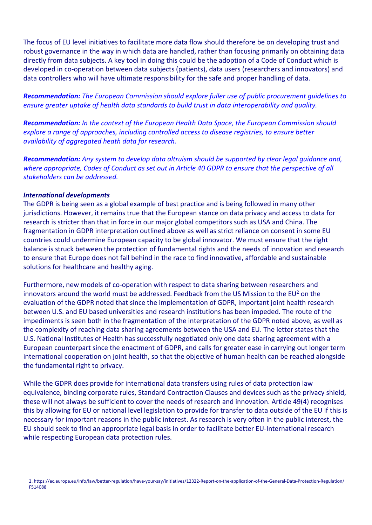The focus of EU level initiatives to facilitate more data flow should therefore be on developing trust and robust governance in the way in which data are handled, rather than focusing primarily on obtaining data directly from data subjects. A key tool in doing this could be the adoption of a Code of Conduct which is developed in co-operation between data subjects (patients), data users (researchers and innovators) and data controllers who will have ultimate responsibility for the safe and proper handling of data.

*Recommendation: The European Commission should explore fuller use of public procurement guidelines to ensure greater uptake of health data standards to build trust in data interoperability and quality.*

*Recommendation: In the context of the European Health Data Space, the European Commission should explore a range of approaches, including controlled access to disease registries, to ensure better availability of aggregated heath data for research.* 

*Recommendation: Any system to develop data altruism should be supported by clear legal guidance and, where appropriate, Codes of Conduct as set out in Article 40 GDPR to ensure that the perspective of all stakeholders can be addressed.* 

#### *International developments*

The GDPR is being seen as a global example of best practice and is being followed in many other jurisdictions. However, it remains true that the European stance on data privacy and access to data for research is stricter than that in force in our major global competitors such as USA and China. The fragmentation in GDPR interpretation outlined above as well as strict reliance on consent in some EU countries could undermine European capacity to be global innovator. We must ensure that the right balance is struck between the protection of fundamental rights and the needs of innovation and research to ensure that Europe does not fall behind in the race to find innovative, affordable and sustainable solutions for healthcare and healthy aging.

Furthermore, new models of co-operation with respect to data sharing between researchers and innovators around the world must be addressed. Feedback from the US Mission to the EU<sup>2</sup> on the evaluation of the GDPR noted that since the implementation of GDPR, important joint health research between U.S. and EU based universities and research institutions has been impeded. The route of the impediments is seen both in the fragmentation of the interpretation of the GDPR noted above, as well as the complexity of reaching data sharing agreements between the USA and EU. The letter states that the U.S. National Institutes of Health has successfully negotiated only one data sharing agreement with a European counterpart since the enactment of GDPR, and calls for greater ease in carrying out longer term international cooperation on joint health, so that the objective of human health can be reached alongside the fundamental right to privacy.

While the GDPR does provide for international data transfers using rules of data protection law equivalence, binding corporate rules, Standard Contraction Clauses and devices such as the privacy shield, these will not always be sufficient to cover the needs of research and innovation. Article 49(4) recognises this by allowing for EU or national level legislation to provide for transfer to data outside of the EU if this is necessary for important reasons in the public interest. As research is very often in the public interest, the EU should seek to find an appropriate legal basis in order to facilitate better EU-International research while respecting European data protection rules.

<sup>2.</sup> https://ec.europa.eu/info/law/better-regulation/have-your-say/initiatives/12322-Report-on-the-application-of-the-General-Data-Protection-Regulation/ F514088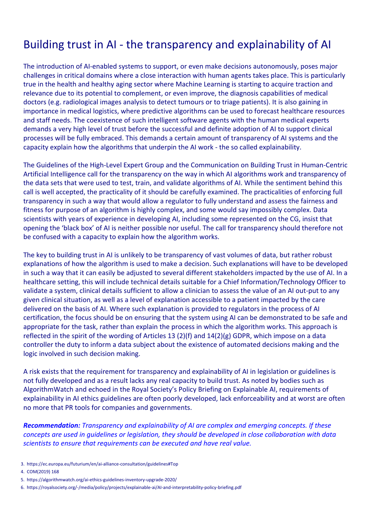### Building trust in AI - the transparency and explainability of AI

The introduction of AI-enabled systems to support, or even make decisions autonomously, poses major challenges in critical domains where a close interaction with human agents takes place. This is particularly true in the health and healthy aging sector where Machine Learning is starting to acquire traction and relevance due to its potential to complement, or even improve, the diagnosis capabilities of medical doctors (e.g. radiological images analysis to detect tumours or to triage patients). It is also gaining in importance in medical logistics, where predictive algorithms can be used to forecast healthcare resources and staff needs. The coexistence of such intelligent software agents with the human medical experts demands a very high level of trust before the successful and definite adoption of AI to support clinical processes will be fully embraced. This demands a certain amount of transparency of AI systems and the capacity explain how the algorithms that underpin the AI work - the so called explainability.

The Guidelines of the High-Level Expert Group and the Communication on Building Trust in Human-Centric Artificial Intelligence call for the transparency on the way in which AI algorithms work and transparency of the data sets that were used to test, train, and validate algorithms of AI. While the sentiment behind this call is well accepted, the practicality of it should be carefully examined. The practicalities of enforcing full transparency in such a way that would allow a regulator to fully understand and assess the fairness and fitness for purpose of an algorithm is highly complex, and some would say impossibly complex. Data scientists with years of experience in developing AI, including some represented on the CG, insist that opening the 'black box' of AI is neither possible nor useful. The call for transparency should therefore not be confused with a capacity to explain how the algorithm works.

The key to building trust in AI is unlikely to be transparency of vast volumes of data, but rather robust explanations of how the algorithm is used to make a decision. Such explanations will have to be developed in such a way that it can easily be adjusted to several different stakeholders impacted by the use of AI. In a healthcare setting, this will include technical details suitable for a Chief Information/Technology Officer to validate a system, clinical details sufficient to allow a clinician to assess the value of an AI out-put to any given clinical situation, as well as a level of explanation accessible to a patient impacted by the care delivered on the basis of AI. Where such explanation is provided to regulators in the process of AI certification, the focus should be on ensuring that the system using AI can be demonstrated to be safe and appropriate for the task, rather than explain the process in which the algorithm works. This approach is reflected in the spirit of the wording of Articles 13 (2)(f) and  $14(2)(g)$  GDPR, which impose on a data controller the duty to inform a data subject about the existence of automated decisions making and the logic involved in such decision making.

A risk exists that the requirement for transparency and explainability of AI in legislation or guidelines is not fully developed and as a result lacks any real capacity to build trust. As noted by bodies such as AlgorithmWatch and echoed in the Royal Society's Policy Briefing on Explainable AI, requirements of explainability in AI ethics guidelines are often poorly developed, lack enforceability and at worst are often no more that PR tools for companies and governments.

*Recommendation: Transparency and explainability of AI are complex and emerging concepts. If these concepts are used in guidelines or legislation, they should be developed in close collaboration with data scientists to ensure that requirements can be executed and have real value.*

- 3. https://ec.europa.eu/futurium/en/ai-alliance-consultation/guidelines#Top
- 4. COM(2019) 168
- 5. https://algorithmwatch.org/ai-ethics-guidelines-inventory-upgrade-2020/
- 6. https://royalsociety.org/-/media/policy/projects/explainable-ai/AI-and-interpretability-policy-briefing.pdf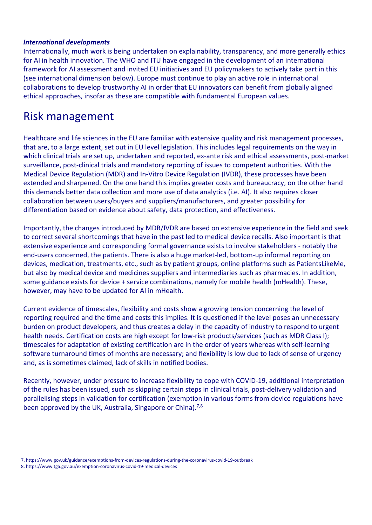#### *International developments*

Internationally, much work is being undertaken on explainability, transparency, and more generally ethics for AI in health innovation. The WHO and ITU have engaged in the development of an international framework for AI assessment and invited EU initiatives and EU policymakers to actively take part in this (see international dimension below). Europe must continue to play an active role in international collaborations to develop trustworthy AI in order that EU innovators can benefit from globally aligned ethical approaches, insofar as these are compatible with fundamental European values.

### Risk management

Healthcare and life sciences in the EU are familiar with extensive quality and risk management processes, that are, to a large extent, set out in EU level legislation. This includes legal requirements on the way in which clinical trials are set up, undertaken and reported, ex-ante risk and ethical assessments, post-market surveillance, post-clinical trials and mandatory reporting of issues to competent authorities. With the Medical Device Regulation (MDR) and In-Vitro Device Regulation (IVDR), these processes have been extended and sharpened. On the one hand this implies greater costs and bureaucracy, on the other hand this demands better data collection and more use of data analytics (i.e. AI). It also requires closer collaboration between users/buyers and suppliers/manufacturers, and greater possibility for differentiation based on evidence about safety, data protection, and effectiveness.

Importantly, the changes introduced by MDR/IVDR are based on extensive experience in the field and seek to correct several shortcomings that have in the past led to medical device recalls. Also important is that extensive experience and corresponding formal governance exists to involve stakeholders - notably the end-users concerned, the patients. There is also a huge market-led, bottom-up informal reporting on devices, medication, treatments, etc., such as by patient groups, online platforms such as PatientsLikeMe, but also by medical device and medicines suppliers and intermediaries such as pharmacies. In addition, some guidance exists for device + service combinations, namely for mobile health (mHealth). These, however, may have to be updated for AI in mHealth.

Current evidence of timescales, flexibility and costs show a growing tension concerning the level of reporting required and the time and costs this implies. It is questioned if the level poses an unnecessary burden on product developers, and thus creates a delay in the capacity of industry to respond to urgent health needs. Certification costs are high except for low-risk products/services (such as MDR Class I); timescales for adaptation of existing certification are in the order of years whereas with self-learning software turnaround times of months are necessary; and flexibility is low due to lack of sense of urgency and, as is sometimes claimed, lack of skills in notified bodies.

Recently, however, under pressure to increase flexibility to cope with COVID-19, additional interpretation of the rules has been issued, such as skipping certain steps in clinical trials, post-delivery validation and parallelising steps in validation for certification (exemption in various forms from device regulations have been approved by the UK, Australia, Singapore or China).<sup>7,8</sup>

<sup>7.</sup> https://www.gov.uk/guidance/exemptions-from-devices-regulations-during-the-coronavirus-covid-19-outbreak 8. https://www.tga.gov.au/exemption-coronavirus-covid-19-medical-devices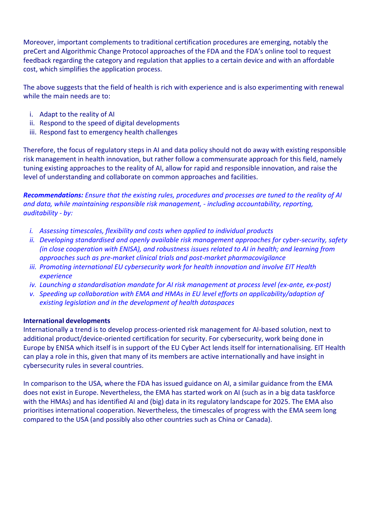Moreover, important complements to traditional certification procedures are emerging, notably the preCert and Algorithmic Change Protocol approaches of the FDA and the FDA's online tool to request feedback regarding the category and regulation that applies to a certain device and with an affordable cost, which simplifies the application process.

The above suggests that the field of health is rich with experience and is also experimenting with renewal while the main needs are to:

- i. Adapt to the reality of AI
- ii. Respond to the speed of digital developments
- iii. Respond fast to emergency health challenges

Therefore, the focus of regulatory steps in AI and data policy should not do away with existing responsible risk management in health innovation, but rather follow a commensurate approach for this field, namely tuning existing approaches to the reality of AI, allow for rapid and responsible innovation, and raise the level of understanding and collaborate on common approaches and facilities.

*Recommendations: Ensure that the existing rules, procedures and processes are tuned to the reality of AI and data, while maintaining responsible risk management, - including accountability, reporting, auditability - by:* 

- *i. Assessing timescales, flexibility and costs when applied to individual products*
- *ii. Developing standardised and openly available risk management approaches for cyber-security, safety (in close cooperation with ENISA), and robustness issues related to AI in health; and learning from approaches such as pre-market clinical trials and post-market pharmacovigilance*
- *iii. Promoting international EU cybersecurity work for health innovation and involve EIT Health experience*
- *iv. Launching a standardisation mandate for AI risk management at process level (ex-ante, ex-post)*
- *v. Speeding up collaboration with EMA and HMAs in EU level efforts on applicability/adaption of existing legislation and in the development of health dataspaces*

#### **International developments**

Internationally a trend is to develop process-oriented risk management for AI-based solution, next to additional product/device-oriented certification for security. For cybersecurity, work being done in Europe by ENISA which itself is in support of the EU Cyber Act lends itself for internationalising. EIT Health can play a role in this, given that many of its members are active internationally and have insight in cybersecurity rules in several countries.

In comparison to the USA, where the FDA has issued guidance on AI, a similar guidance from the EMA does not exist in Europe. Nevertheless, the EMA has started work on AI (such as in a big data taskforce with the HMAs) and has identified AI and (big) data in its regulatory landscape for 2025. The EMA also prioritises international cooperation. Nevertheless, the timescales of progress with the EMA seem long compared to the USA (and possibly also other countries such as China or Canada).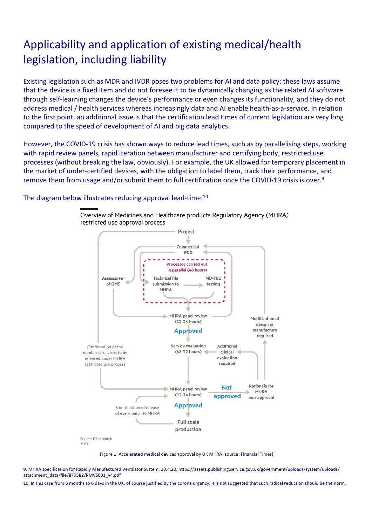## Applicability and application of existing medical/health legislation, including liability

Existing legislation such as MDR and IVDR poses two problems for AI and data policy: these laws assume that the device is a fixed item and do not foresee it to be dynamically changing as the related AI software through self-learning changes the device's performance or even changes its functionality, and they do not address medical / health services whereas increasingly data and AI enable health-as-a-service. In relation to the first point, an additional issue is that the certification lead times of current legislation are very long compared to the speed of development of AI and big data analytics.

However, the COVID-19 crisis has shown ways to reduce lead times, such as by parallelising steps, working with rapid review panels, rapid iteration between manufacturer and certifying body, restricted use processes (without breaking the law, obviously). For example, the UK allowed for temporary placement in the market of under-certified devices, with the obligation to label them, track their performance, and remove them from usage and/or submit them to full certification once the COVID-19 crisis is over.<sup>9</sup>

The diagram below illustrates reducing approval lead-time:<sup>10</sup>



Overview of Medicines and Healthcare products Regulatory Agency (MHRA) restricted use approval process

Figure 1: Accelerated medical devices approval by UK MHRA (source: Financial Times)

9. MHRA specification for Rapidly Manufactured Ventilator System, 10.4.20, https://assets.publishing.service.gov.uk/government/uploads/system/uploads/ attachment\_data/file/879382/RMVS001\_v4.pdf

10. In this case from 6 months to 6 days in the UK, of course justified by the corona urgency. It is not suggested that such radical reduction should be the norm.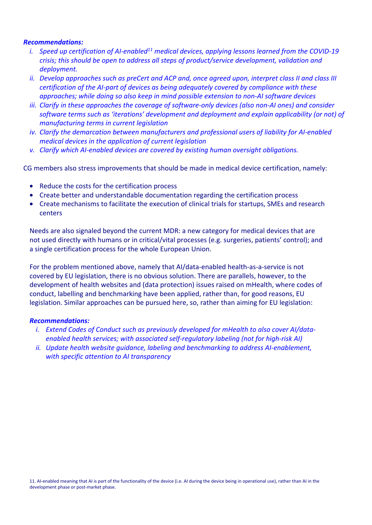#### *Recommendations:*

- *i. Speed up certification of AI-enabled<sup>11</sup> medical devices, applying lessons learned from the COVID-19 crisis; this should be open to address all steps of product/service development, validation and deployment.*
- *ii. Develop approaches such as preCert and ACP and, once agreed upon, interpret class II and class III certification of the AI-part of devices as being adequately covered by compliance with these approaches; while doing so also keep in mind possible extension to non-AI software devices*
- *iii. Clarify in these approaches the coverage of software-only devices (also non-AI ones) and consider software terms such as 'iterations' development and deployment and explain applicability (or not) of manufacturing terms in current legislation*
- *iv. Clarify the demarcation between manufacturers and professional users of liability for AI-enabled medical devices in the application of current legislation*
- *v. Clarify which AI-enabled devices are covered by existing human oversight obligations.*

CG members also stress improvements that should be made in medical device certification, namely:

- Reduce the costs for the certification process
- Create better and understandable documentation regarding the certification process
- Create mechanisms to facilitate the execution of clinical trials for startups, SMEs and research centers

Needs are also signaled beyond the current MDR: a new category for medical devices that are not used directly with humans or in critical/vital processes (e.g. surgeries, patients' control); and a single certification process for the whole European Union.

For the problem mentioned above, namely that AI/data-enabled health-as-a-service is not covered by EU legislation, there is no obvious solution. There are parallels, however, to the development of health websites and (data protection) issues raised on mHealth, where codes of conduct, labelling and benchmarking have been applied, rather than, for good reasons, EU legislation. Similar approaches can be pursued here, so, rather than aiming for EU legislation:

#### *Recommendations:*

- *i. Extend Codes of Conduct such as previously developed for mHealth to also cover AI/dataenabled health services; with associated self-regulatory labeling (not for high-risk AI)*
- *ii. Update health website guidance, labeling and benchmarking to address AI-enablement, with specific attention to AI transparency*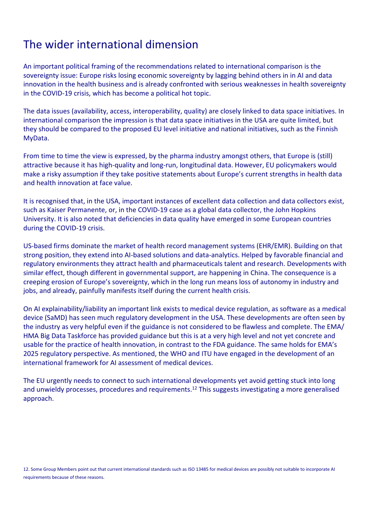### The wider international dimension

An important political framing of the recommendations related to international comparison is the sovereignty issue: Europe risks losing economic sovereignty by lagging behind others in in AI and data innovation in the health business and is already confronted with serious weaknesses in health sovereignty in the COVID-19 crisis, which has become a political hot topic.

The data issues (availability, access, interoperability, quality) are closely linked to data space initiatives. In international comparison the impression is that data space initiatives in the USA are quite limited, but they should be compared to the proposed EU level initiative and national initiatives, such as the Finnish MyData.

From time to time the view is expressed, by the pharma industry amongst others, that Europe is (still) attractive because it has high-quality and long-run, longitudinal data. However, EU policymakers would make a risky assumption if they take positive statements about Europe's current strengths in health data and health innovation at face value.

It is recognised that, in the USA, important instances of excellent data collection and data collectors exist, such as Kaiser Permanente, or, in the COVID-19 case as a global data collector, the John Hopkins University. It is also noted that deficiencies in data quality have emerged in some European countries during the COVID-19 crisis.

US-based firms dominate the market of health record management systems (EHR/EMR). Building on that strong position, they extend into AI-based solutions and data-analytics. Helped by favorable financial and regulatory environments they attract health and pharmaceuticals talent and research. Developments with similar effect, though different in governmental support, are happening in China. The consequence is a creeping erosion of Europe's sovereignty, which in the long run means loss of autonomy in industry and jobs, and already, painfully manifests itself during the current health crisis.

On AI explainability/liability an important link exists to medical device regulation, as software as a medical device (SaMD) has seen much regulatory development in the USA. These developments are often seen by the industry as very helpful even if the guidance is not considered to be flawless and complete. The EMA/ HMA Big Data Taskforce has provided guidance but this is at a very high level and not yet concrete and usable for the practice of health innovation, in contrast to the FDA guidance. The same holds for EMA's 2025 regulatory perspective. As mentioned, the WHO and ITU have engaged in the development of an international framework for AI assessment of medical devices.

The EU urgently needs to connect to such international developments yet avoid getting stuck into long and unwieldy processes, procedures and requirements.<sup>12</sup> This suggests investigating a more generalised approach.

12. Some Group Members point out that current international standards such as ISO 13485 for medical devices are possibly not suitable to incorporate AI requirements because of these reasons.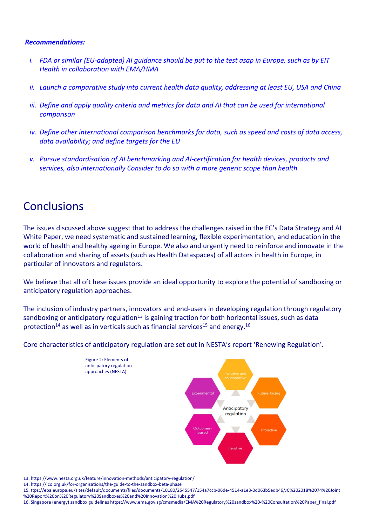#### *Recommendations:*

- *i. FDA or similar (EU-adapted) AI guidance should be put to the test asap in Europe, such as by EIT Health in collaboration with EMA/HMA*
- *ii. Launch a comparative study into current health data quality, addressing at least EU, USA and China*
- *iii. Define and apply quality criteria and metrics for data and AI that can be used for international comparison*
- *iv. Define other international comparison benchmarks for data, such as speed and costs of data access, data availability; and define targets for the EU*
- *v. Pursue standardisation of AI benchmarking and AI-certification for health devices, products and services, also internationally Consider to do so with a more generic scope than health*

### **Conclusions**

The issues discussed above suggest that to address the challenges raised in the EC's Data Strategy and AI White Paper, we need systematic and sustained learning, flexible experimentation, and education in the world of health and healthy ageing in Europe. We also and urgently need to reinforce and innovate in the collaboration and sharing of assets (such as Health Dataspaces) of all actors in health in Europe, in particular of innovators and regulators.

We believe that all oft hese issues provide an ideal opportunity to explore the potential of sandboxing or anticipatory regulation approaches.

The inclusion of industry partners, innovators and end-users in developing regulation through regulatory sandboxing or anticipatory regulation<sup>13</sup> is gaining traction for both horizontal issues, such as data protection<sup>14</sup> as well as in verticals such as financial services<sup>15</sup> and energy.<sup>16</sup>

Core characteristics of anticipatory regulation are set out in NESTA's report 'Renewing Regulation'.



13. https://www.nesta.org.uk/feature/innovation-methods/anticipatory-regulation/

14. https://ico.org.uk/for-organisations/the-guide-to-the-sandbox-beta-phase

16. Singapore (energy) sandbox guidelines https://www.ema.gov.sg/cmsmedia/EMA%20Regulatory%20sandbox%20-%20Consultation%20Paper\_final.pdf

<sup>15.</sup> ttps://eba.europa.eu/sites/default/documents/files/documents/10180/2545547/154a7ccb-06de-4514-a1e3-0d063b5edb46/JC%202018%2074%20Joint %20Report%20on%20Regulatory%20Sandboxes%20and%20Innovation%20Hubs.pdf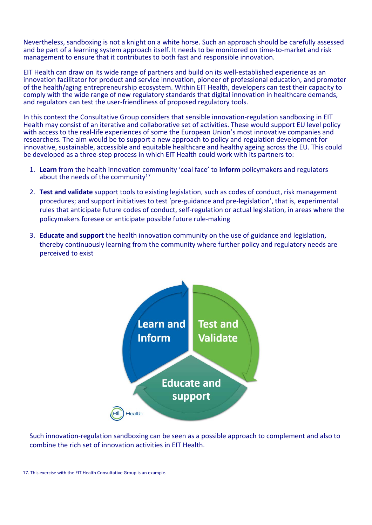Nevertheless, sandboxing is not a knight on a white horse. Such an approach should be carefully assessed and be part of a learning system approach itself. It needs to be monitored on time-to-market and risk management to ensure that it contributes to both fast and responsible innovation.

EIT Health can draw on its wide range of partners and build on its well-established experience as an innovation facilitator for product and service innovation, pioneer of professional education, and promoter of the health/aging entrepreneurship ecosystem. Within EIT Health, developers can test their capacity to comply with the wide range of new regulatory standards that digital innovation in healthcare demands, and regulators can test the user-friendliness of proposed regulatory tools.

In this context the Consultative Group considers that sensible innovation-regulation sandboxing in EIT Health may consist of an iterative and collaborative set of activities. These would support EU level policy with access to the real-life experiences of some the European Union's most innovative companies and researchers. The aim would be to support a new approach to policy and regulation development for innovative, sustainable, accessible and equitable healthcare and healthy ageing across the EU. This could be developed as a three-step process in which EIT Health could work with its partners to:

- 1. **Learn** from the health innovation community 'coal face' to **inform** policymakers and regulators about the needs of the community $17$
- 2. **Test and validate** support tools to existing legislation, such as codes of conduct, risk management procedures; and support initiatives to test 'pre-guidance and pre-legislation', that is, experimental rules that anticipate future codes of conduct, self-regulation or actual legislation, in areas where the policymakers foresee or anticipate possible future rule-making
- 3. **Educate and support** the health innovation community on the use of guidance and legislation, thereby continuously learning from the community where further policy and regulatory needs are perceived to exist



Such innovation-regulation sandboxing can be seen as a possible approach to complement and also to combine the rich set of innovation activities in EIT Health.

<sup>17.</sup> This exercise with the EIT Health Consultative Group is an example.